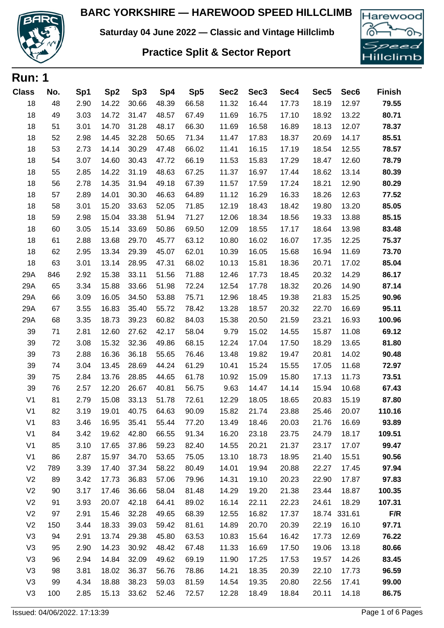

**Saturday 04 June 2022 — Classic and Vintage Hillclimb**

## **Practice Split & Sector Report**



| <b>Run: 1</b>  |     |      |                 |                 |       |       |                  |                  |       |                  |                  |               |
|----------------|-----|------|-----------------|-----------------|-------|-------|------------------|------------------|-------|------------------|------------------|---------------|
| <b>Class</b>   | No. | Sp1  | Sp <sub>2</sub> | Sp <sub>3</sub> | Sp4   | Sp5   | Sec <sub>2</sub> | Sec <sub>3</sub> | Sec4  | Sec <sub>5</sub> | Sec <sub>6</sub> | <b>Finish</b> |
| 18             | 48  | 2.90 | 14.22           | 30.66           | 48.39 | 66.58 | 11.32            | 16.44            | 17.73 | 18.19            | 12.97            | 79.55         |
| 18             | 49  | 3.03 | 14.72           | 31.47           | 48.57 | 67.49 | 11.69            | 16.75            | 17.10 | 18.92            | 13.22            | 80.71         |
| 18             | 51  | 3.01 | 14.70           | 31.28           | 48.17 | 66.30 | 11.69            | 16.58            | 16.89 | 18.13            | 12.07            | 78.37         |
| 18             | 52  | 2.98 | 14.45           | 32.28           | 50.65 | 71.34 | 11.47            | 17.83            | 18.37 | 20.69            | 14.17            | 85.51         |
| 18             | 53  | 2.73 | 14.14           | 30.29           | 47.48 | 66.02 | 11.41            | 16.15            | 17.19 | 18.54            | 12.55            | 78.57         |
| 18             | 54  | 3.07 | 14.60           | 30.43           | 47.72 | 66.19 | 11.53            | 15.83            | 17.29 | 18.47            | 12.60            | 78.79         |
| 18             | 55  | 2.85 | 14.22           | 31.19           | 48.63 | 67.25 | 11.37            | 16.97            | 17.44 | 18.62            | 13.14            | 80.39         |
| 18             | 56  | 2.78 | 14.35           | 31.94           | 49.18 | 67.39 | 11.57            | 17.59            | 17.24 | 18.21            | 12.90            | 80.29         |
| 18             | 57  | 2.89 | 14.01           | 30.30           | 46.63 | 64.89 | 11.12            | 16.29            | 16.33 | 18.26            | 12.63            | 77.52         |
| 18             | 58  | 3.01 | 15.20           | 33.63           | 52.05 | 71.85 | 12.19            | 18.43            | 18.42 | 19.80            | 13.20            | 85.05         |
| 18             | 59  | 2.98 | 15.04           | 33.38           | 51.94 | 71.27 | 12.06            | 18.34            | 18.56 | 19.33            | 13.88            | 85.15         |
| 18             | 60  | 3.05 | 15.14           | 33.69           | 50.86 | 69.50 | 12.09            | 18.55            | 17.17 | 18.64            | 13.98            | 83.48         |
| 18             | 61  | 2.88 | 13.68           | 29.70           | 45.77 | 63.12 | 10.80            | 16.02            | 16.07 | 17.35            | 12.25            | 75.37         |
| 18             | 62  | 2.95 | 13.34           | 29.39           | 45.07 | 62.01 | 10.39            | 16.05            | 15.68 | 16.94            | 11.69            | 73.70         |
| 18             | 63  | 3.01 | 13.14           | 28.95           | 47.31 | 68.02 | 10.13            | 15.81            | 18.36 | 20.71            | 17.02            | 85.04         |
| 29A            | 846 | 2.92 | 15.38           | 33.11           | 51.56 | 71.88 | 12.46            | 17.73            | 18.45 | 20.32            | 14.29            | 86.17         |
| 29A            | 65  | 3.34 | 15.88           | 33.66           | 51.98 | 72.24 | 12.54            | 17.78            | 18.32 | 20.26            | 14.90            | 87.14         |
| 29A            | 66  | 3.09 | 16.05           | 34.50           | 53.88 | 75.71 | 12.96            | 18.45            | 19.38 | 21.83            | 15.25            | 90.96         |
| 29A            | 67  | 3.55 | 16.83           | 35.40           | 55.72 | 78.42 | 13.28            | 18.57            | 20.32 | 22.70            | 16.69            | 95.11         |
| 29A            | 68  | 3.35 | 18.73           | 39.23           | 60.82 | 84.03 | 15.38            | 20.50            | 21.59 | 23.21            | 16.93            | 100.96        |
| 39             | 71  | 2.81 | 12.60           | 27.62           | 42.17 | 58.04 | 9.79             | 15.02            | 14.55 | 15.87            | 11.08            | 69.12         |
| 39             | 72  | 3.08 | 15.32           | 32.36           | 49.86 | 68.15 | 12.24            | 17.04            | 17.50 | 18.29            | 13.65            | 81.80         |
| 39             | 73  | 2.88 | 16.36           | 36.18           | 55.65 | 76.46 | 13.48            | 19.82            | 19.47 | 20.81            | 14.02            | 90.48         |
| 39             | 74  | 3.04 | 13.45           | 28.69           | 44.24 | 61.29 | 10.41            | 15.24            | 15.55 | 17.05            | 11.68            | 72.97         |
| 39             | 75  | 2.84 | 13.76           | 28.85           | 44.65 | 61.78 | 10.92            | 15.09            | 15.80 | 17.13            | 11.73            | 73.51         |
| 39             | 76  | 2.57 | 12.20           | 26.67           | 40.81 | 56.75 | 9.63             | 14.47            | 14.14 | 15.94            | 10.68            | 67.43         |
| V <sub>1</sub> | 81  | 2.79 | 15.08           | 33.13           | 51.78 | 72.61 | 12.29            | 18.05            | 18.65 | 20.83            | 15.19            | 87.80         |
| V <sub>1</sub> | 82  | 3.19 | 19.01           | 40.75           | 64.63 | 90.09 | 15.82            | 21.74            | 23.88 | 25.46            | 20.07            | 110.16        |
| V <sub>1</sub> | 83  | 3.46 | 16.95           | 35.41           | 55.44 | 77.20 | 13.49            | 18.46            | 20.03 | 21.76            | 16.69            | 93.89         |
| V <sub>1</sub> | 84  | 3.42 | 19.62           | 42.80           | 66.55 | 91.34 | 16.20            | 23.18            | 23.75 | 24.79            | 18.17            | 109.51        |
| V <sub>1</sub> | 85  | 3.10 | 17.65           | 37.86           | 59.23 | 82.40 | 14.55            | 20.21            | 21.37 | 23.17            | 17.07            | 99.47         |
| V <sub>1</sub> | 86  | 2.87 | 15.97           | 34.70           | 53.65 | 75.05 | 13.10            | 18.73            | 18.95 | 21.40            | 15.51            | 90.56         |
| V <sub>2</sub> | 789 | 3.39 | 17.40           | 37.34           | 58.22 | 80.49 | 14.01            | 19.94            | 20.88 | 22.27            | 17.45            | 97.94         |
| V <sub>2</sub> | 89  | 3.42 | 17.73           | 36.83           | 57.06 | 79.96 | 14.31            | 19.10            | 20.23 | 22.90            | 17.87            | 97.83         |
| V <sub>2</sub> | 90  | 3.17 | 17.46           | 36.66           | 58.04 | 81.48 | 14.29            | 19.20            | 21.38 | 23.44            | 18.87            | 100.35        |
| V <sub>2</sub> | 91  | 3.93 | 20.07           | 42.18           | 64.41 | 89.02 | 16.14            | 22.11            | 22.23 | 24.61            | 18.29            | 107.31        |
| V <sub>2</sub> | 97  | 2.91 | 15.46           | 32.28           | 49.65 | 68.39 | 12.55            | 16.82            | 17.37 |                  | 18.74 331.61     | F/R           |
| V <sub>2</sub> | 150 | 3.44 | 18.33           | 39.03           | 59.42 | 81.61 | 14.89            | 20.70            | 20.39 | 22.19            | 16.10            | 97.71         |
| V <sub>3</sub> | 94  | 2.91 | 13.74           | 29.38           | 45.80 | 63.53 | 10.83            | 15.64            | 16.42 | 17.73            | 12.69            | 76.22         |
| V <sub>3</sub> | 95  | 2.90 | 14.23           | 30.92           | 48.42 | 67.48 | 11.33            | 16.69            | 17.50 | 19.06            | 13.18            | 80.66         |
| V <sub>3</sub> | 96  | 2.94 | 14.84           | 32.09           | 49.62 | 69.19 | 11.90            | 17.25            | 17.53 | 19.57            | 14.26            | 83.45         |
| V <sub>3</sub> | 98  | 3.81 | 18.02           | 36.37           | 56.76 | 78.86 | 14.21            | 18.35            | 20.39 | 22.10            | 17.73            | 96.59         |
| V <sub>3</sub> | 99  | 4.34 | 18.88           | 38.23           | 59.03 | 81.59 | 14.54            | 19.35            | 20.80 | 22.56            | 17.41            | 99.00         |
| V <sub>3</sub> | 100 | 2.85 | 15.13           | 33.62           | 52.46 | 72.57 | 12.28            | 18.49            | 18.84 | 20.11            | 14.18            | 86.75         |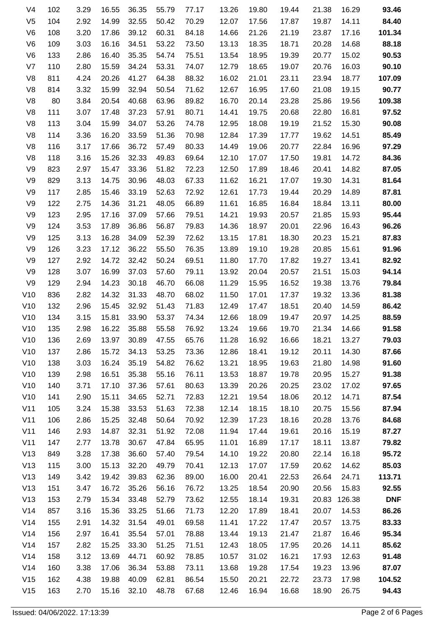| 93.46      | 16.29  | 21.38 | 19.44 | 19.80 | 13.26 | 77.17 | 55.79 | 36.35 | 16.55 | 3.29 | 102 | V4             |
|------------|--------|-------|-------|-------|-------|-------|-------|-------|-------|------|-----|----------------|
| 84.40      | 14.11  | 19.87 | 17.87 | 17.56 | 12.07 | 70.29 | 50.42 | 32.55 | 14.99 | 2.92 | 104 | V <sub>5</sub> |
| 101.34     | 17.16  | 23.87 | 21.19 | 21.26 | 14.66 | 84.18 | 60.31 | 39.12 | 17.86 | 3.20 | 108 | V <sub>6</sub> |
| 88.18      | 14.68  | 20.28 | 18.71 | 18.35 | 13.13 | 73.50 | 53.22 | 34.51 | 16.16 | 3.03 | 109 | V <sub>6</sub> |
| 90.53      | 15.02  | 20.77 | 19.39 | 18.95 | 13.54 | 75.51 | 54.74 | 35.35 | 16.40 | 2.86 | 133 | V <sub>6</sub> |
| 90.10      | 16.03  | 20.76 | 19.07 | 18.65 | 12.79 | 74.07 | 53.31 | 34.24 | 15.59 | 2.80 | 110 | V <sub>7</sub> |
| 107.09     | 18.77  | 23.94 | 23.11 | 21.01 | 16.02 | 88.32 | 64.38 | 41.27 | 20.26 | 4.24 | 811 | V <sub>8</sub> |
| 90.77      | 19.15  | 21.08 | 17.60 | 16.95 | 12.67 | 71.62 | 50.54 | 32.94 | 15.99 | 3.32 | 814 | V <sub>8</sub> |
| 109.38     | 19.56  | 25.86 | 23.28 | 20.14 | 16.70 | 89.82 | 63.96 | 40.68 | 20.54 | 3.84 | 80  | V <sub>8</sub> |
| 97.52      | 16.81  | 22.80 | 20.68 | 19.75 | 14.41 | 80.71 | 57.91 | 37.23 | 17.48 | 3.07 | 111 | V <sub>8</sub> |
| 90.08      | 15.30  | 21.52 | 19.19 | 18.08 | 12.95 | 74.78 | 53.26 | 34.07 | 15.99 | 3.04 | 113 | V <sub>8</sub> |
| 85.49      | 14.51  | 19.62 | 17.77 | 17.39 | 12.84 | 70.98 | 51.36 | 33.59 | 16.20 | 3.36 | 114 | V <sub>8</sub> |
| 97.29      | 16.96  | 22.84 | 20.77 | 19.06 | 14.49 | 80.33 | 57.49 | 36.72 | 17.66 | 3.17 | 116 | V <sub>8</sub> |
| 84.36      | 14.72  | 19.81 | 17.50 | 17.07 | 12.10 | 69.64 | 49.83 | 32.33 | 15.26 | 3.16 | 118 | V <sub>8</sub> |
| 87.05      | 14.82  | 20.41 | 18.46 | 17.89 | 12.50 | 72.23 | 51.82 | 33.36 | 15.47 | 2.97 | 823 | V9             |
| 81.64      | 14.31  | 19.30 | 17.07 | 16.21 | 11.62 | 67.33 | 48.03 | 30.96 | 14.75 | 3.13 | 829 | V9             |
| 87.81      | 14.89  | 20.29 | 19.44 | 17.73 | 12.61 | 72.92 | 52.63 | 33.19 | 15.46 | 2.85 | 117 | V9             |
| 80.00      | 13.11  | 18.84 | 16.84 | 16.85 | 11.61 | 66.89 | 48.05 | 31.21 | 14.36 | 2.75 | 122 | V9             |
| 95.44      | 15.93  | 21.85 | 20.57 | 19.93 | 14.21 | 79.51 | 57.66 | 37.09 | 17.16 | 2.95 | 123 | V9             |
| 96.26      | 16.43  | 22.96 | 20.01 | 18.97 | 14.36 | 79.83 | 56.87 | 36.86 | 17.89 | 3.53 | 124 | V9             |
| 87.83      | 15.21  | 20.23 | 18.30 | 17.81 | 13.15 | 72.62 | 52.39 | 34.09 | 16.28 | 3.13 | 125 | V9             |
| 91.96      | 15.61  | 20.85 | 19.28 | 19.10 | 13.89 | 76.35 | 55.50 | 36.22 | 17.12 | 3.23 | 126 | V9             |
| 82.92      | 13.41  | 19.27 | 17.82 | 17.70 | 11.80 | 69.51 | 50.24 | 32.42 | 14.72 | 2.92 | 127 | V9             |
| 94.14      | 15.03  | 21.51 | 20.57 | 20.04 | 13.92 | 79.11 | 57.60 | 37.03 | 16.99 | 3.07 | 128 | V <sub>9</sub> |
| 79.84      | 13.76  | 19.38 | 16.52 | 15.95 | 11.29 | 66.08 | 46.70 | 30.18 | 14.23 | 2.94 | 129 | V <sub>9</sub> |
| 81.38      | 13.36  | 19.32 | 17.37 | 17.01 | 11.50 | 68.02 | 48.70 | 31.33 | 14.32 | 2.82 | 836 | V10            |
| 86.42      | 14.59  | 20.40 | 18.51 | 17.47 | 12.49 | 71.83 | 51.43 | 32.92 | 15.45 | 2.96 | 132 | V10            |
| 88.59      | 14.25  | 20.97 | 19.47 | 18.09 | 12.66 | 74.34 | 53.37 | 33.90 | 15.81 | 3.15 | 134 | V10            |
| 91.58      | 14.66  | 21.34 | 19.70 | 19.66 | 13.24 | 76.92 | 55.58 | 35.88 | 16.22 | 2.98 | 135 | V10            |
| 79.03      | 13.27  | 18.21 | 16.66 | 16.92 | 11.28 | 65.76 | 47.55 | 30.89 | 13.97 | 2.69 | 136 | V10            |
| 87.66      | 14.30  | 20.11 | 19.12 | 18.41 | 12.86 | 73.36 | 53.25 | 34.13 | 15.72 | 2.86 | 137 | V10            |
| 91.60      | 14.98  | 21.80 | 19.63 | 18.95 | 13.21 | 76.62 | 54.82 | 35.19 | 16.24 | 3.03 | 138 | V10            |
| 91.38      | 15.27  | 20.95 | 19.78 | 18.87 | 13.53 | 76.11 | 55.16 | 35.38 | 16.51 | 2.98 | 139 | V10            |
| 97.65      | 17.02  | 23.02 | 20.25 | 20.26 | 13.39 | 80.63 | 57.61 | 37.36 | 17.10 | 3.71 | 140 | V10            |
| 87.54      | 14.71  | 20.12 | 18.06 | 19.54 | 12.21 | 72.83 | 52.71 | 34.65 | 15.11 | 2.90 | 141 | V10            |
| 87.94      | 15.56  | 20.75 | 18.10 | 18.15 | 12.14 | 72.38 | 51.63 | 33.53 | 15.38 | 3.24 | 105 | V11            |
| 84.68      | 13.76  | 20.28 | 18.16 | 17.23 | 12.39 | 70.92 | 50.64 | 32.48 | 15.25 | 2.86 | 106 | V11            |
| 87.27      | 15.19  | 20.16 | 19.61 | 17.44 | 11.94 | 72.08 | 51.92 | 32.31 | 14.87 | 2.93 | 146 | V11            |
| 79.82      | 13.87  | 18.11 | 17.17 | 16.89 | 11.01 | 65.95 | 47.84 | 30.67 | 13.78 | 2.77 | 147 | V11            |
| 95.72      | 16.18  | 22.14 | 20.80 | 19.22 | 14.10 | 79.54 | 57.40 | 36.60 | 17.38 | 3.28 | 849 | V13            |
| 85.03      | 14.62  | 20.62 | 17.59 | 17.07 | 12.13 | 70.41 | 49.79 | 32.20 | 15.13 | 3.00 | 115 | V13            |
| 113.71     | 24.71  | 26.64 | 22.53 | 20.41 | 16.00 | 89.00 | 62.36 | 39.83 | 19.42 | 3.42 | 149 | V13            |
| 92.55      | 15.83  | 20.56 | 20.90 | 18.54 | 13.25 | 76.72 | 56.16 | 35.26 | 16.72 | 3.47 | 151 | V13            |
| <b>DNF</b> | 126.38 | 20.83 | 19.31 | 18.14 | 12.55 | 73.62 | 52.79 | 33.48 | 15.34 | 2.79 | 153 | V13            |
| 86.26      | 14.53  | 20.07 | 18.41 | 17.89 | 12.20 | 71.73 | 51.66 | 33.25 | 15.36 | 3.16 | 857 | V14            |
| 83.33      | 13.75  | 20.57 | 17.47 | 17.22 | 11.41 | 69.58 | 49.01 | 31.54 | 14.32 | 2.91 | 155 | V14            |
| 95.34      | 16.46  | 21.87 | 21.47 | 19.13 | 13.44 | 78.88 | 57.01 | 35.54 | 16.41 | 2.97 | 156 | V14            |
| 85.62      | 14.11  | 20.26 | 17.95 | 18.05 | 12.43 | 71.51 | 51.25 | 33.30 | 15.25 | 2.82 | 157 | V14            |
| 91.48      | 12.63  | 17.93 | 16.21 | 31.02 | 10.57 | 78.85 | 60.92 | 44.71 | 13.69 | 3.12 | 158 | V14            |
| 87.07      | 13.96  | 19.23 | 17.54 | 19.28 | 13.68 | 73.11 | 53.88 | 36.34 | 17.06 | 3.38 | 160 | V14            |
| 104.52     | 17.98  | 23.73 | 22.72 | 20.21 | 15.50 | 86.54 | 62.81 | 40.09 | 19.88 | 4.38 | 162 | V15            |
| 94.43      | 26.75  | 18.90 | 16.68 | 16.94 | 12.46 | 67.68 | 48.78 | 32.10 | 15.16 | 2.70 | 163 | V15            |
|            |        |       |       |       |       |       |       |       |       |      |     |                |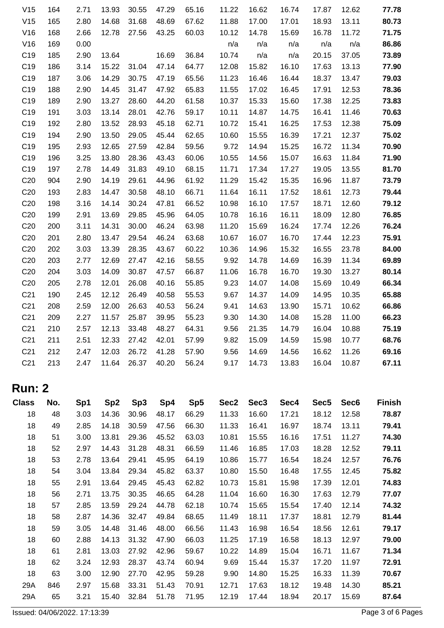| V15             | 164 | 2.71 | 13.93 | 30.55 | 47.29 | 65.16 | 11.22 | 16.62 | 16.74 | 17.87 | 12.62 | 77.78 |
|-----------------|-----|------|-------|-------|-------|-------|-------|-------|-------|-------|-------|-------|
| V15             | 165 | 2.80 | 14.68 | 31.68 | 48.69 | 67.62 | 11.88 | 17.00 | 17.01 | 18.93 | 13.11 | 80.73 |
| V16             | 168 | 2.66 | 12.78 | 27.56 | 43.25 | 60.03 | 10.12 | 14.78 | 15.69 | 16.78 | 11.72 | 71.75 |
| V16             | 169 | 0.00 |       |       |       |       | n/a   | n/a   | n/a   | n/a   | n/a   | 86.86 |
| C <sub>19</sub> | 185 | 2.90 | 13.64 |       | 16.69 | 36.84 | 10.74 | n/a   | n/a   | 20.15 | 37.05 | 73.89 |
| C <sub>19</sub> | 186 | 3.14 | 15.22 | 31.04 | 47.14 | 64.77 | 12.08 | 15.82 | 16.10 | 17.63 | 13.13 | 77.90 |
| C <sub>19</sub> | 187 | 3.06 | 14.29 | 30.75 | 47.19 | 65.56 | 11.23 | 16.46 | 16.44 | 18.37 | 13.47 | 79.03 |
| C <sub>19</sub> | 188 | 2.90 | 14.45 | 31.47 | 47.92 | 65.83 | 11.55 | 17.02 | 16.45 | 17.91 | 12.53 | 78.36 |
| C <sub>19</sub> | 189 | 2.90 | 13.27 | 28.60 | 44.20 | 61.58 | 10.37 | 15.33 | 15.60 | 17.38 | 12.25 | 73.83 |
| C <sub>19</sub> | 191 | 3.03 | 13.14 | 28.01 | 42.76 | 59.17 | 10.11 | 14.87 | 14.75 | 16.41 | 11.46 | 70.63 |
| C <sub>19</sub> | 192 | 2.80 | 13.52 | 28.93 | 45.18 | 62.71 | 10.72 | 15.41 | 16.25 | 17.53 | 12.38 | 75.09 |
| C <sub>19</sub> | 194 | 2.90 | 13.50 | 29.05 | 45.44 | 62.65 | 10.60 | 15.55 | 16.39 | 17.21 | 12.37 | 75.02 |
| C <sub>19</sub> | 195 | 2.93 | 12.65 | 27.59 | 42.84 | 59.56 | 9.72  | 14.94 | 15.25 | 16.72 | 11.34 | 70.90 |
| C <sub>19</sub> | 196 | 3.25 | 13.80 | 28.36 | 43.43 | 60.06 | 10.55 | 14.56 | 15.07 | 16.63 | 11.84 | 71.90 |
| C <sub>19</sub> | 197 | 2.78 | 14.49 | 31.83 | 49.10 | 68.15 | 11.71 | 17.34 | 17.27 | 19.05 | 13.55 | 81.70 |
| C <sub>20</sub> | 904 | 2.90 | 14.19 | 29.61 | 44.96 | 61.92 | 11.29 | 15.42 | 15.35 | 16.96 | 11.87 | 73.79 |
| C <sub>20</sub> | 193 | 2.83 | 14.47 | 30.58 | 48.10 | 66.71 | 11.64 | 16.11 | 17.52 | 18.61 | 12.73 | 79.44 |
| C <sub>20</sub> | 198 | 3.16 | 14.14 | 30.24 | 47.81 | 66.52 | 10.98 | 16.10 | 17.57 | 18.71 | 12.60 | 79.12 |
| C <sub>20</sub> | 199 | 2.91 | 13.69 | 29.85 | 45.96 | 64.05 | 10.78 | 16.16 | 16.11 | 18.09 | 12.80 | 76.85 |
| C <sub>20</sub> | 200 | 3.11 | 14.31 | 30.00 | 46.24 | 63.98 | 11.20 | 15.69 | 16.24 | 17.74 | 12.26 | 76.24 |
| C <sub>20</sub> | 201 | 2.80 | 13.47 | 29.54 | 46.24 | 63.68 | 10.67 | 16.07 | 16.70 | 17.44 | 12.23 | 75.91 |
| C <sub>20</sub> | 202 | 3.03 | 13.39 | 28.35 | 43.67 | 60.22 | 10.36 | 14.96 | 15.32 | 16.55 | 23.78 | 84.00 |
| C <sub>20</sub> | 203 | 2.77 | 12.69 | 27.47 | 42.16 | 58.55 | 9.92  | 14.78 | 14.69 | 16.39 | 11.34 | 69.89 |
| C <sub>20</sub> | 204 | 3.03 | 14.09 | 30.87 | 47.57 | 66.87 | 11.06 | 16.78 | 16.70 | 19.30 | 13.27 | 80.14 |
| C <sub>20</sub> | 205 | 2.78 | 12.01 | 26.08 | 40.16 | 55.85 | 9.23  | 14.07 | 14.08 | 15.69 | 10.49 | 66.34 |
| C <sub>21</sub> | 190 | 2.45 | 12.12 | 26.49 | 40.58 | 55.53 | 9.67  | 14.37 | 14.09 | 14.95 | 10.35 | 65.88 |
| C <sub>21</sub> | 208 | 2.59 | 12.00 | 26.63 | 40.53 | 56.24 | 9.41  | 14.63 | 13.90 | 15.71 | 10.62 | 66.86 |
| C <sub>21</sub> | 209 | 2.27 | 11.57 | 25.87 | 39.95 | 55.23 | 9.30  | 14.30 | 14.08 | 15.28 | 11.00 | 66.23 |
| C <sub>21</sub> | 210 | 2.57 | 12.13 | 33.48 | 48.27 | 64.31 | 9.56  | 21.35 | 14.79 | 16.04 | 10.88 | 75.19 |
| C <sub>21</sub> | 211 | 2.51 | 12.33 | 27.42 | 42.01 | 57.99 | 9.82  | 15.09 | 14.59 | 15.98 | 10.77 | 68.76 |
| C <sub>21</sub> | 212 | 2.47 | 12.03 | 26.72 | 41.28 | 57.90 | 9.56  | 14.69 | 14.56 | 16.62 | 11.26 | 69.16 |
| C <sub>21</sub> | 213 | 2.47 | 11.64 | 26.37 | 40.20 | 56.24 | 9.17  | 14.73 | 13.83 | 16.04 | 10.87 | 67.11 |
|                 |     |      |       |       |       |       |       |       |       |       |       |       |

## **Run: 2**

| <b>Class</b> | No. | Sp1  | Sp <sub>2</sub> | Sp <sub>3</sub> | Sp4   | Sp <sub>5</sub> | Sec2  | Sec <sub>3</sub> | Sec4  | Sec <sub>5</sub> | Sec <sub>6</sub> | <b>Finish</b> |
|--------------|-----|------|-----------------|-----------------|-------|-----------------|-------|------------------|-------|------------------|------------------|---------------|
| 18           | 48  | 3.03 | 14.36           | 30.96           | 48.17 | 66.29           | 11.33 | 16.60            | 17.21 | 18.12            | 12.58            | 78.87         |
| 18           | 49  | 2.85 | 14.18           | 30.59           | 47.56 | 66.30           | 11.33 | 16.41            | 16.97 | 18.74            | 13.11            | 79.41         |
| 18           | 51  | 3.00 | 13.81           | 29.36           | 45.52 | 63.03           | 10.81 | 15.55            | 16.16 | 17.51            | 11.27            | 74.30         |
| 18           | 52  | 2.97 | 14.43           | 31.28           | 48.31 | 66.59           | 11.46 | 16.85            | 17.03 | 18.28            | 12.52            | 79.11         |
| 18           | 53  | 2.78 | 13.64           | 29.41           | 45.95 | 64.19           | 10.86 | 15.77            | 16.54 | 18.24            | 12.57            | 76.76         |
| 18           | 54  | 3.04 | 13.84           | 29.34           | 45.82 | 63.37           | 10.80 | 15.50            | 16.48 | 17.55            | 12.45            | 75.82         |
| 18           | 55  | 2.91 | 13.64           | 29.45           | 45.43 | 62.82           | 10.73 | 15.81            | 15.98 | 17.39            | 12.01            | 74.83         |
| 18           | 56  | 2.71 | 13.75           | 30.35           | 46.65 | 64.28           | 11.04 | 16.60            | 16.30 | 17.63            | 12.79            | 77.07         |
| 18           | 57  | 2.85 | 13.59           | 29.24           | 44.78 | 62.18           | 10.74 | 15.65            | 15.54 | 17.40            | 12.14            | 74.32         |
| 18           | 58  | 2.87 | 14.36           | 32.47           | 49.84 | 68.65           | 11.49 | 18.11            | 17.37 | 18.81            | 12.79            | 81.44         |
| 18           | 59  | 3.05 | 14.48           | 31.46           | 48.00 | 66.56           | 11.43 | 16.98            | 16.54 | 18.56            | 12.61            | 79.17         |
| 18           | 60  | 2.88 | 14.13           | 31.32           | 47.90 | 66.03           | 11.25 | 17.19            | 16.58 | 18.13            | 12.97            | 79.00         |
| 18           | 61  | 2.81 | 13.03           | 27.92           | 42.96 | 59.67           | 10.22 | 14.89            | 15.04 | 16.71            | 11.67            | 71.34         |
| 18           | 62  | 3.24 | 12.93           | 28.37           | 43.74 | 60.94           | 9.69  | 15.44            | 15.37 | 17.20            | 11.97            | 72.91         |
| 18           | 63  | 3.00 | 12.90           | 27.70           | 42.95 | 59.28           | 9.90  | 14.80            | 15.25 | 16.33            | 11.39            | 70.67         |
| 29A          | 846 | 2.97 | 15.68           | 33.31           | 51.43 | 70.91           | 12.71 | 17.63            | 18.12 | 19.48            | 14.30            | 85.21         |
| 29A          | 65  | 3.21 | 15.40           | 32.84           | 51.78 | 71.95           | 12.19 | 17.44            | 18.94 | 20.17            | 15.69            | 87.64         |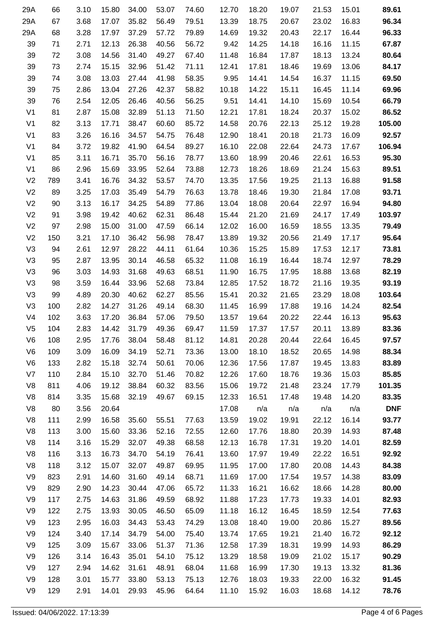| 89.61      | 15.01 | 21.53 | 19.07 | 18.20 | 12.70 | 74.60 | 53.07 | 34.00 | 15.80 | 3.10 | 66  | 29A            |
|------------|-------|-------|-------|-------|-------|-------|-------|-------|-------|------|-----|----------------|
| 96.34      | 16.83 | 23.02 | 20.67 | 18.75 | 13.39 | 79.51 | 56.49 | 35.82 | 17.07 | 3.68 | 67  | 29A            |
| 96.33      | 16.44 | 22.17 | 20.43 | 19.32 | 14.69 | 79.89 | 57.72 | 37.29 | 17.97 | 3.28 | 68  | 29A            |
| 67.87      | 11.15 | 16.16 | 14.18 | 14.25 | 9.42  | 56.72 | 40.56 | 26.38 | 12.13 | 2.71 | 71  | 39             |
| 80.64      | 13.24 | 18.13 | 17.87 | 16.84 | 11.48 | 67.40 | 49.27 | 31.40 | 14.56 | 3.08 | 72  | 39             |
| 84.17      | 13.06 | 19.69 | 18.46 | 17.81 | 12.41 | 71.11 | 51.42 | 32.96 | 15.15 | 2.74 | 73  | 39             |
| 69.50      | 11.15 | 16.37 | 14.54 | 14.41 | 9.95  | 58.35 | 41.98 | 27.44 | 13.03 | 3.08 | 74  | 39             |
| 69.96      | 11.14 | 16.45 | 15.11 | 14.22 | 10.18 | 58.82 | 42.37 | 27.26 | 13.04 | 2.86 | 75  | 39             |
| 66.79      | 10.54 | 15.69 | 14.10 | 14.41 | 9.51  | 56.25 | 40.56 | 26.46 | 12.05 | 2.54 | 76  | 39             |
| 86.52      | 15.02 | 20.37 | 18.24 | 17.81 | 12.21 | 71.50 | 51.13 | 32.89 | 15.08 | 2.87 | 81  | V <sub>1</sub> |
| 105.00     | 19.28 | 25.12 | 22.13 | 20.76 | 14.58 | 85.72 | 60.60 | 38.47 | 17.71 | 3.13 | 82  | V <sub>1</sub> |
| 92.57      | 16.09 | 21.73 | 20.18 | 18.41 | 12.90 | 76.48 | 54.75 | 34.57 | 16.16 | 3.26 | 83  | V <sub>1</sub> |
| 106.94     | 17.67 | 24.73 | 22.64 | 22.08 | 16.10 | 89.27 | 64.54 | 41.90 | 19.82 | 3.72 | 84  | V <sub>1</sub> |
| 95.30      | 16.53 | 22.61 | 20.46 | 18.99 | 13.60 | 78.77 | 56.16 | 35.70 | 16.71 | 3.11 | 85  | V <sub>1</sub> |
| 89.51      | 15.63 | 21.24 | 18.69 | 18.26 | 12.73 | 73.88 | 52.64 | 33.95 | 15.69 | 2.96 | 86  | V <sub>1</sub> |
| 91.58      | 16.88 | 21.13 | 19.25 | 17.56 | 13.35 | 74.70 | 53.57 | 34.32 | 16.76 | 3.41 | 789 | V <sub>2</sub> |
| 93.71      | 17.08 | 21.84 | 19.30 | 18.46 | 13.78 | 76.63 | 54.79 | 35.49 | 17.03 | 3.25 | 89  | V <sub>2</sub> |
| 94.80      | 16.94 | 22.97 | 20.64 | 18.08 | 13.04 | 77.86 | 54.89 | 34.25 | 16.17 | 3.13 | 90  | V <sub>2</sub> |
| 103.97     | 17.49 | 24.17 | 21.69 | 21.20 | 15.44 | 86.48 | 62.31 | 40.62 | 19.42 | 3.98 | 91  | V <sub>2</sub> |
| 79.49      | 13.35 | 18.55 | 16.59 | 16.00 | 12.02 | 66.14 | 47.59 | 31.00 | 15.00 | 2.98 | 97  | V <sub>2</sub> |
| 95.64      | 17.17 | 21.49 | 20.56 | 19.32 | 13.89 | 78.47 | 56.98 | 36.42 | 17.10 | 3.21 | 150 | V <sub>2</sub> |
| 73.81      | 12.17 | 17.53 | 15.89 | 15.25 | 10.36 | 61.64 | 44.11 | 28.22 | 12.97 | 2.61 | 94  | V <sub>3</sub> |
| 78.29      | 12.97 | 18.74 | 16.44 | 16.19 | 11.08 | 65.32 | 46.58 | 30.14 | 13.95 | 2.87 | 95  | V <sub>3</sub> |
| 82.19      | 13.68 | 18.88 | 17.95 | 16.75 | 11.90 | 68.51 | 49.63 | 31.68 | 14.93 | 3.03 | 96  | V <sub>3</sub> |
| 93.19      | 19.35 | 21.16 | 18.72 | 17.52 | 12.85 | 73.84 | 52.68 | 33.96 | 16.44 | 3.59 | 98  | V <sub>3</sub> |
| 103.64     | 18.08 | 23.29 | 21.65 | 20.32 | 15.41 | 85.56 | 62.27 | 40.62 | 20.30 | 4.89 | 99  | V <sub>3</sub> |
| 82.54      | 14.24 | 19.16 | 17.88 | 16.99 | 11.45 | 68.30 | 49.14 | 31.26 | 14.27 | 2.82 | 100 | V <sub>3</sub> |
| 95.63      | 16.13 | 22.44 | 20.22 | 19.64 | 13.57 | 79.50 | 57.06 | 36.84 | 17.20 | 3.63 | 102 | V <sub>4</sub> |
| 83.36      | 13.89 | 20.11 | 17.57 | 17.37 | 11.59 | 69.47 | 49.36 | 31.79 | 14.42 | 2.83 | 104 | V <sub>5</sub> |
| 97.57      | 16.45 | 22.64 | 20.44 | 20.28 | 14.81 | 81.12 | 58.48 | 38.04 | 17.76 | 2.95 | 108 | V <sub>6</sub> |
| 88.34      | 14.98 | 20.65 | 18.52 | 18.10 | 13.00 | 73.36 | 52.71 | 34.19 | 16.09 | 3.09 | 109 | V <sub>6</sub> |
| 83.89      | 13.83 | 19.45 | 17.87 | 17.56 | 12.36 | 70.06 | 50.61 | 32.74 | 15.18 | 2.82 | 133 | V <sub>6</sub> |
| 85.85      | 15.03 | 19.36 | 18.76 | 17.60 | 12.26 | 70.82 | 51.46 | 32.70 | 15.10 | 2.84 | 110 | V7             |
| 101.35     | 17.79 | 23.24 | 21.48 | 19.72 | 15.06 | 83.56 | 60.32 | 38.84 | 19.12 | 4.06 | 811 | V <sub>8</sub> |
| 83.35      | 14.20 | 19.48 | 17.48 | 16.51 | 12.33 | 69.15 | 49.67 | 32.19 | 15.68 | 3.35 | 814 | V8             |
| <b>DNF</b> | n/a   | n/a   | n/a   | n/a   | 17.08 |       |       |       | 20.64 | 3.56 | 80  | V8             |
| 93.77      | 16.14 | 22.12 | 19.91 | 19.02 | 13.59 | 77.63 | 55.51 | 35.60 | 16.58 | 2.99 | 111 | V8             |
| 87.48      | 14.93 | 20.39 | 18.80 | 17.76 | 12.60 | 72.55 | 52.16 | 33.36 | 15.60 | 3.00 | 113 | V <sub>8</sub> |
| 82.59      | 14.01 | 19.20 | 17.31 | 16.78 | 12.13 | 68.58 | 49.38 | 32.07 | 15.29 | 3.16 | 114 | V8             |
| 92.92      | 16.51 | 22.22 | 19.49 | 17.97 | 13.60 | 76.41 | 54.19 | 34.70 | 16.73 | 3.13 | 116 | V <sub>8</sub> |
| 84.38      | 14.43 | 20.08 | 17.80 | 17.00 | 11.95 | 69.95 | 49.87 | 32.07 | 15.07 | 3.12 | 118 | V8             |
| 83.09      | 14.38 | 19.57 | 17.54 | 17.00 | 11.69 | 68.71 | 49.14 | 31.60 | 14.60 | 2.91 | 823 | V9             |
| 80.00      | 14.28 | 18.66 | 16.62 | 16.21 | 11.33 | 65.72 | 47.06 | 30.44 | 14.23 | 2.90 | 829 | V9             |
| 82.93      | 14.01 | 19.33 | 17.73 | 17.23 | 11.88 | 68.92 | 49.59 | 31.86 | 14.63 | 2.75 | 117 | V9             |
| 77.63      | 12.54 | 18.59 | 16.45 | 16.12 | 11.18 | 65.09 | 46.50 | 30.05 | 13.93 | 2.75 | 122 | V9             |
| 89.56      | 15.27 | 20.86 | 19.00 | 18.40 | 13.08 | 74.29 | 53.43 | 34.43 | 16.03 | 2.95 | 123 | V9             |
| 92.12      | 16.72 | 21.40 | 19.21 | 17.65 | 13.74 | 75.40 | 54.00 | 34.79 | 17.14 | 3.40 | 124 | V9             |
| 86.29      | 14.93 | 19.99 | 18.31 | 17.39 | 12.58 | 71.36 | 51.37 | 33.06 | 15.67 | 3.09 | 125 | V9             |
| 90.29      | 15.17 | 21.02 | 19.09 | 18.58 | 13.29 | 75.12 | 54.10 | 35.01 | 16.43 | 3.14 | 126 | V9             |
| 81.36      | 13.32 | 19.13 | 17.30 | 16.99 | 11.68 | 68.04 | 48.91 | 31.61 | 14.62 | 2.94 | 127 | V9             |
| 91.45      | 16.32 | 22.00 | 19.33 | 18.03 | 12.76 | 75.13 | 53.13 | 33.80 | 15.77 | 3.01 | 128 | V9             |
| 78.76      | 14.12 | 18.68 | 16.03 | 15.92 | 11.10 | 64.64 | 45.96 | 29.93 | 14.01 | 2.91 | 129 | V9             |
|            |       |       |       |       |       |       |       |       |       |      |     |                |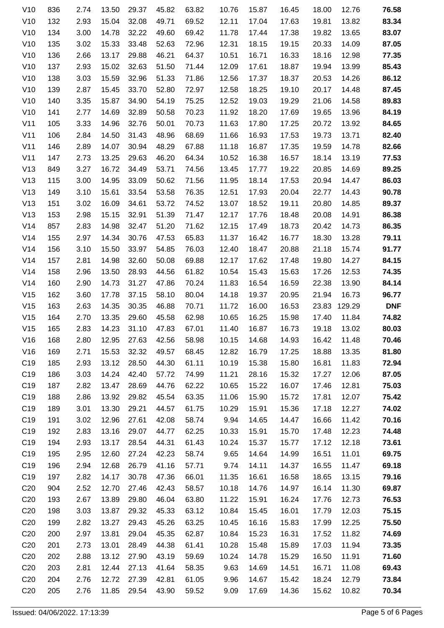| V10             | 836 | 2.74 | 13.50 | 29.37 | 45.82 | 63.82 | 10.76 | 15.87 | 16.45 | 18.00 | 12.76  | 76.58      |
|-----------------|-----|------|-------|-------|-------|-------|-------|-------|-------|-------|--------|------------|
| V10             | 132 | 2.93 | 15.04 | 32.08 | 49.71 | 69.52 | 12.11 | 17.04 | 17.63 | 19.81 | 13.82  | 83.34      |
| V10             | 134 | 3.00 | 14.78 | 32.22 | 49.60 | 69.42 | 11.78 | 17.44 | 17.38 | 19.82 | 13.65  | 83.07      |
| V10             | 135 | 3.02 | 15.33 | 33.48 | 52.63 | 72.96 | 12.31 | 18.15 | 19.15 | 20.33 | 14.09  | 87.05      |
| V10             | 136 | 2.66 | 13.17 | 29.88 | 46.21 | 64.37 | 10.51 | 16.71 | 16.33 | 18.16 | 12.98  | 77.35      |
| V10             | 137 | 2.93 | 15.02 | 32.63 | 51.50 | 71.44 | 12.09 | 17.61 | 18.87 | 19.94 | 13.99  | 85.43      |
| V10             | 138 | 3.03 | 15.59 | 32.96 | 51.33 | 71.86 | 12.56 | 17.37 | 18.37 | 20.53 | 14.26  | 86.12      |
| V10             | 139 | 2.87 | 15.45 | 33.70 | 52.80 | 72.97 | 12.58 | 18.25 | 19.10 | 20.17 | 14.48  | 87.45      |
| V10             | 140 | 3.35 | 15.87 | 34.90 | 54.19 | 75.25 | 12.52 | 19.03 | 19.29 | 21.06 | 14.58  | 89.83      |
| V10             | 141 | 2.77 | 14.69 | 32.89 | 50.58 | 70.23 | 11.92 | 18.20 | 17.69 | 19.65 | 13.96  | 84.19      |
| V11             | 105 | 3.33 | 14.96 | 32.76 | 50.01 | 70.73 | 11.63 | 17.80 | 17.25 | 20.72 | 13.92  | 84.65      |
| V11             | 106 | 2.84 | 14.50 | 31.43 | 48.96 | 68.69 | 11.66 | 16.93 | 17.53 | 19.73 | 13.71  | 82.40      |
| V11             | 146 | 2.89 | 14.07 | 30.94 | 48.29 | 67.88 | 11.18 | 16.87 | 17.35 | 19.59 | 14.78  | 82.66      |
| V11             | 147 | 2.73 | 13.25 | 29.63 | 46.20 | 64.34 | 10.52 | 16.38 | 16.57 | 18.14 | 13.19  | 77.53      |
| V13             | 849 | 3.27 | 16.72 | 34.49 | 53.71 | 74.56 | 13.45 | 17.77 | 19.22 | 20.85 | 14.69  | 89.25      |
| V13             | 115 | 3.00 | 14.95 | 33.09 | 50.62 | 71.56 | 11.95 | 18.14 | 17.53 | 20.94 | 14.47  | 86.03      |
| V13             | 149 | 3.10 | 15.61 | 33.54 | 53.58 | 76.35 | 12.51 | 17.93 | 20.04 | 22.77 | 14.43  | 90.78      |
| V13             | 151 | 3.02 | 16.09 | 34.61 | 53.72 | 74.52 | 13.07 | 18.52 | 19.11 | 20.80 | 14.85  | 89.37      |
| V13             | 153 | 2.98 | 15.15 | 32.91 | 51.39 | 71.47 | 12.17 | 17.76 | 18.48 | 20.08 | 14.91  | 86.38      |
| V14             | 857 | 2.83 | 14.98 | 32.47 | 51.20 | 71.62 | 12.15 | 17.49 | 18.73 | 20.42 | 14.73  | 86.35      |
| V14             | 155 | 2.97 | 14.34 | 30.76 | 47.53 | 65.83 | 11.37 | 16.42 | 16.77 | 18.30 | 13.28  | 79.11      |
| V14             | 156 | 3.10 | 15.50 | 33.97 | 54.85 | 76.03 | 12.40 | 18.47 | 20.88 | 21.18 | 15.74  | 91.77      |
| V14             | 157 | 2.81 | 14.98 | 32.60 | 50.08 | 69.88 | 12.17 | 17.62 | 17.48 | 19.80 | 14.27  | 84.15      |
| V14             | 158 | 2.96 | 13.50 | 28.93 | 44.56 | 61.82 | 10.54 | 15.43 | 15.63 | 17.26 | 12.53  | 74.35      |
| V14             | 160 | 2.90 | 14.73 | 31.27 | 47.86 | 70.24 | 11.83 | 16.54 | 16.59 | 22.38 | 13.90  | 84.14      |
| V15             | 162 | 3.60 | 17.78 | 37.15 | 58.10 | 80.04 | 14.18 | 19.37 | 20.95 | 21.94 | 16.73  | 96.77      |
| V15             | 163 | 2.63 | 14.35 | 30.35 | 46.88 | 70.71 | 11.72 | 16.00 | 16.53 | 23.83 | 129.29 | <b>DNF</b> |
| V15             | 164 | 2.70 | 13.35 | 29.60 | 45.58 | 62.98 | 10.65 | 16.25 | 15.98 | 17.40 | 11.84  | 74.82      |
| V15             | 165 | 2.83 | 14.23 | 31.10 | 47.83 | 67.01 | 11.40 | 16.87 | 16.73 | 19.18 | 13.02  | 80.03      |
| V16             | 168 | 2.80 | 12.95 | 27.63 | 42.56 | 58.98 | 10.15 | 14.68 | 14.93 | 16.42 | 11.48  | 70.46      |
| V16             | 169 | 2.71 | 15.53 | 32.32 | 49.57 | 68.45 | 12.82 | 16.79 | 17.25 | 18.88 | 13.35  | 81.80      |
| C <sub>19</sub> | 185 | 2.93 | 13.12 | 28.50 | 44.30 | 61.11 | 10.19 | 15.38 | 15.80 | 16.81 | 11.83  | 72.94      |
| C <sub>19</sub> | 186 | 3.03 | 14.24 | 42.40 | 57.72 | 74.99 | 11.21 | 28.16 | 15.32 | 17.27 | 12.06  | 87.05      |
| C <sub>19</sub> | 187 | 2.82 | 13.47 | 28.69 | 44.76 | 62.22 | 10.65 | 15.22 | 16.07 | 17.46 | 12.81  | 75.03      |
| C <sub>19</sub> | 188 | 2.86 | 13.92 | 29.82 | 45.54 | 63.35 | 11.06 | 15.90 | 15.72 | 17.81 | 12.07  | 75.42      |
| C <sub>19</sub> | 189 | 3.01 | 13.30 | 29.21 | 44.57 | 61.75 | 10.29 | 15.91 | 15.36 | 17.18 | 12.27  | 74.02      |
| C <sub>19</sub> | 191 | 3.02 | 12.96 | 27.61 | 42.08 | 58.74 | 9.94  | 14.65 | 14.47 | 16.66 | 11.42  | 70.16      |
| C <sub>19</sub> | 192 | 2.83 | 13.16 | 29.07 | 44.77 | 62.25 | 10.33 | 15.91 | 15.70 | 17.48 | 12.23  | 74.48      |
| C <sub>19</sub> | 194 | 2.93 | 13.17 | 28.54 | 44.31 | 61.43 | 10.24 | 15.37 | 15.77 | 17.12 | 12.18  | 73.61      |
| C <sub>19</sub> | 195 | 2.95 | 12.60 | 27.24 | 42.23 | 58.74 | 9.65  | 14.64 | 14.99 | 16.51 | 11.01  | 69.75      |
| C <sub>19</sub> | 196 | 2.94 | 12.68 | 26.79 | 41.16 | 57.71 | 9.74  | 14.11 | 14.37 | 16.55 | 11.47  | 69.18      |
| C <sub>19</sub> | 197 | 2.82 | 14.17 | 30.78 | 47.36 | 66.01 | 11.35 | 16.61 | 16.58 | 18.65 | 13.15  | 79.16      |
| C <sub>20</sub> | 904 | 2.52 | 12.70 | 27.46 | 42.43 | 58.57 | 10.18 | 14.76 | 14.97 | 16.14 | 11.30  | 69.87      |
| C <sub>20</sub> | 193 | 2.67 | 13.89 | 29.80 | 46.04 | 63.80 | 11.22 | 15.91 | 16.24 | 17.76 | 12.73  | 76.53      |
| C <sub>20</sub> | 198 | 3.03 | 13.87 | 29.32 | 45.33 | 63.12 | 10.84 | 15.45 | 16.01 | 17.79 | 12.03  | 75.15      |
| C <sub>20</sub> | 199 | 2.82 | 13.27 | 29.43 | 45.26 | 63.25 | 10.45 | 16.16 | 15.83 | 17.99 | 12.25  | 75.50      |
| C <sub>20</sub> | 200 | 2.97 | 13.81 | 29.04 | 45.35 | 62.87 | 10.84 | 15.23 | 16.31 | 17.52 | 11.82  | 74.69      |
| C <sub>20</sub> | 201 | 2.73 | 13.01 | 28.49 | 44.38 | 61.41 | 10.28 | 15.48 | 15.89 | 17.03 | 11.94  | 73.35      |
| C <sub>20</sub> | 202 | 2.88 | 13.12 | 27.90 | 43.19 | 59.69 | 10.24 | 14.78 | 15.29 | 16.50 | 11.91  | 71.60      |
| C <sub>20</sub> | 203 | 2.81 | 12.44 | 27.13 | 41.64 | 58.35 | 9.63  | 14.69 | 14.51 | 16.71 | 11.08  | 69.43      |
| C <sub>20</sub> | 204 | 2.76 | 12.72 | 27.39 | 42.81 | 61.05 | 9.96  | 14.67 | 15.42 | 18.24 | 12.79  | 73.84      |
| C <sub>20</sub> | 205 | 2.76 | 11.85 | 29.54 | 43.90 | 59.52 | 9.09  | 17.69 | 14.36 | 15.62 | 10.82  | 70.34      |
|                 |     |      |       |       |       |       |       |       |       |       |        |            |